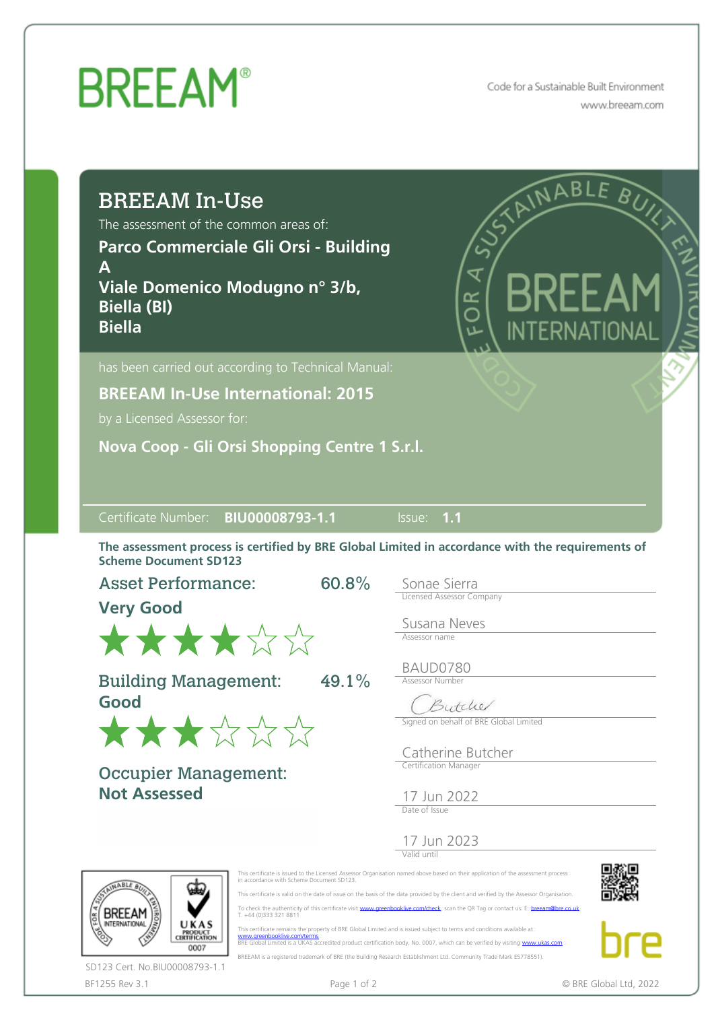Code for a Sustainable Built Environment www.breeam.com

| <b>BREEAM In-Use</b><br>The assessment of the common areas of:<br>Parco Commerciale Gli Orsi - Building<br>Α<br>Viale Domenico Modugno nº 3/b,<br><b>Biella (BI)</b><br><b>Biella</b> | STAINABLE BUNG<br>₹<br>6R<br>INTFRNATIONAL                                                                                                                                                                                                                                                                                                                                                                                                                                                                                                                                                                                                                                       |
|---------------------------------------------------------------------------------------------------------------------------------------------------------------------------------------|----------------------------------------------------------------------------------------------------------------------------------------------------------------------------------------------------------------------------------------------------------------------------------------------------------------------------------------------------------------------------------------------------------------------------------------------------------------------------------------------------------------------------------------------------------------------------------------------------------------------------------------------------------------------------------|
| has been carried out according to Technical Manual:                                                                                                                                   |                                                                                                                                                                                                                                                                                                                                                                                                                                                                                                                                                                                                                                                                                  |
| <b>BREEAM In-Use International: 2015</b><br>by a Licensed Assessor for:                                                                                                               |                                                                                                                                                                                                                                                                                                                                                                                                                                                                                                                                                                                                                                                                                  |
| Nova Coop - Gli Orsi Shopping Centre 1 S.r.l.                                                                                                                                         |                                                                                                                                                                                                                                                                                                                                                                                                                                                                                                                                                                                                                                                                                  |
| BIU00008793-1.1<br>Certificate Number:                                                                                                                                                | Issue: 1.1                                                                                                                                                                                                                                                                                                                                                                                                                                                                                                                                                                                                                                                                       |
| <b>Scheme Document SD123</b>                                                                                                                                                          | The assessment process is certified by BRE Global Limited in accordance with the requirements of                                                                                                                                                                                                                                                                                                                                                                                                                                                                                                                                                                                 |
| 60.8%<br><b>Asset Performance:</b>                                                                                                                                                    | Sonae Sierra<br><b>Licensed Assessor Company</b>                                                                                                                                                                                                                                                                                                                                                                                                                                                                                                                                                                                                                                 |
| <b>Very Good</b>                                                                                                                                                                      | Susana Neves                                                                                                                                                                                                                                                                                                                                                                                                                                                                                                                                                                                                                                                                     |
| ******                                                                                                                                                                                | Assessor name                                                                                                                                                                                                                                                                                                                                                                                                                                                                                                                                                                                                                                                                    |
| <b>Building Management:</b><br>49.1%<br>Good                                                                                                                                          | BAUD0780<br>Assessor Number<br>Butcher                                                                                                                                                                                                                                                                                                                                                                                                                                                                                                                                                                                                                                           |
| ★★★☆☆☆                                                                                                                                                                                | Signed on behalf of BRE Global Limited                                                                                                                                                                                                                                                                                                                                                                                                                                                                                                                                                                                                                                           |
| <b>Occupier Management:</b>                                                                                                                                                           | Catherine Butcher<br>Certification Manager                                                                                                                                                                                                                                                                                                                                                                                                                                                                                                                                                                                                                                       |
| <b>Not Assessed</b>                                                                                                                                                                   | 17 Jun 2022<br>Date of Issue                                                                                                                                                                                                                                                                                                                                                                                                                                                                                                                                                                                                                                                     |
|                                                                                                                                                                                       | 17 Jun 2023<br>Valid until                                                                                                                                                                                                                                                                                                                                                                                                                                                                                                                                                                                                                                                       |
| in accordance with Scheme Document SD123.<br>T. +44 (0)333 321 8811<br><b>INTERNATIONA</b><br>UKAS<br><b>PRODUCT</b><br>CERTIFICATION<br>www.greenbooklive.com/terms<br>0007          | This certificate is issued to the Licensed Assessor Organisation named above based on their application of the assessment process<br>This certificate is valid on the date of issue on the basis of the data provided by the client and verified by the Assessor Organisation.<br>To check the authenticity of this certificate visit: www.greenbooklive.com/check, scan the QR Tag or contact us: Expreeam@bre.co.uk<br>This certificate remains the property of BRE Global Limited and is issued subject to terms and conditions available at:<br>BRE Global Limited is a UKAS accredited product certification body, No. 0007, which can be verified by visiting www.ukas.com |

 BREEAM is a registered trademark of BRE (the Building Research Establishment Ltd. Community Trade Mark E5778551). SD123 Cert. No.BIU00008793-1.1

bre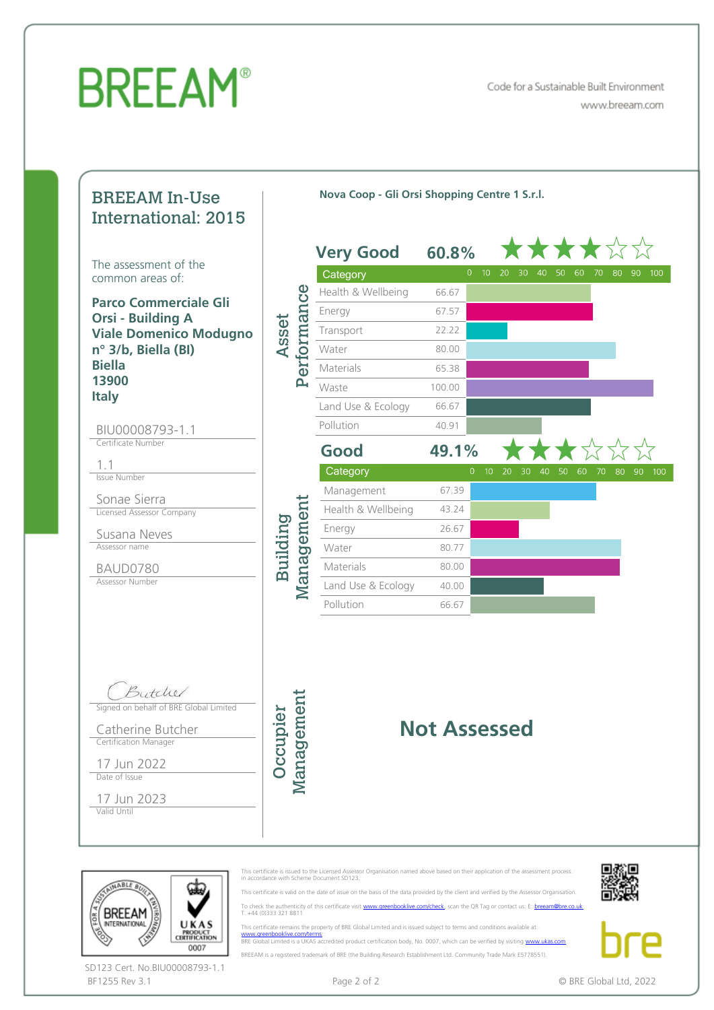Code for a Sustainable Built Environment www.breeam.com

#### BREEAM In-Use International: 2015

**The assessment of the common areas of:** 

**Parco Commerciale Gli Orsi - Building A Viale Domenico Modugno <sup>n</sup>° 3/b, Biella (BI) Biella 13900 Italy**

#### BIU00008793-1.1 Certificate Number

1.1

Issue Number

Sonae Sierra Licensed Assessor Company

Susana Neves Assessor name

BAUD0780

Assessor Number

Butchel Signed on behalf of BRE Global Limited

Catherine Butcher Certification Manager

17 Jun 2022 Date of Issue

17 Jun 2023 Valid Until

> **BREEAM INTERNATIONAL**

|          |             | <b>Very Good</b>   | 60.8%                                            |                       |
|----------|-------------|--------------------|--------------------------------------------------|-----------------------|
| Asset    | Performance | Category           | $\mathbf{0}$<br>10<br>20<br>30<br>40<br>50<br>60 | 100<br>70<br>80<br>90 |
|          |             | Health & Wellbeing | 66.67                                            |                       |
|          |             | Energy             | 67.57                                            |                       |
|          |             | Transport          | 22.22                                            |                       |
|          |             | Water              | 80.00                                            |                       |
|          |             | Materials          | 65.38                                            |                       |
|          |             | Waste              | 100.00                                           |                       |
|          |             | Land Use & Ecology | 66.67                                            |                       |
|          |             | Pollution          | 40.91                                            |                       |
|          |             | Good               | 49.1%                                            |                       |
|          |             | Category           | $\mathbf{0}$<br>10<br>20<br>30<br>40<br>50<br>60 | 80<br>100<br>70<br>90 |
|          | Management  | Management         | 67.39                                            |                       |
|          |             | Health & Wellbeing | 43.24                                            |                       |
| Building |             | Energy             | 26.67                                            |                       |
|          |             | Water              | 80.77                                            |                       |
|          |             | Materials          | 80.00                                            |                       |
|          |             | Land Use & Ecology | 40.00                                            |                       |
|          |             | Pollution          | 66.67                                            |                       |

**Nova Coop - Gli Orsi Shopping Centre 1 S.r.l.**

#### **Not Assessed**

This certificate is issued to the Licensed Assessor Organisation named above based on their application of the assessment process:::<br>in accordance with Scheme Document SD123.

This certificate remains the property of BRE Global Limited and is issued subject to terms and conditions available at: [www.greenbooklive.com/terms](http://www.greenbooklive.com/terms)¤<br>BRE Global Limited is a UKAS accredited product certification body, No. 0007, which can be verified by visiting [www.ukas.com](http://www.ukas.com/)

 This certificate is valid on the date of issue on the basis of the data provided by the client and verified by the Assessor Organisation. To check the authenticity of this certificate visit [www.greenbooklive.com/check,](http://www.greenbooklive.com/check) scan the QR Tag or contact us: E: [breeam@bre.co.uk](mailto:breeam@bre.co.uk)<br>T. +44 (0)333 321 8811



**PRODUCT**<br>CERTIFICATION 0007 SD123 Cert. No.BIU00008793-1.1BF1255 Rev 3.1 **Page 2 of 2** Page 2 of 2 © BRE Global Ltd, 2022

UKAS

BREEAM is a registered trademark of BRE (the Building Research Establishment Ltd. Community Trade Mark E5778551).

Occupier Management

Management Occupier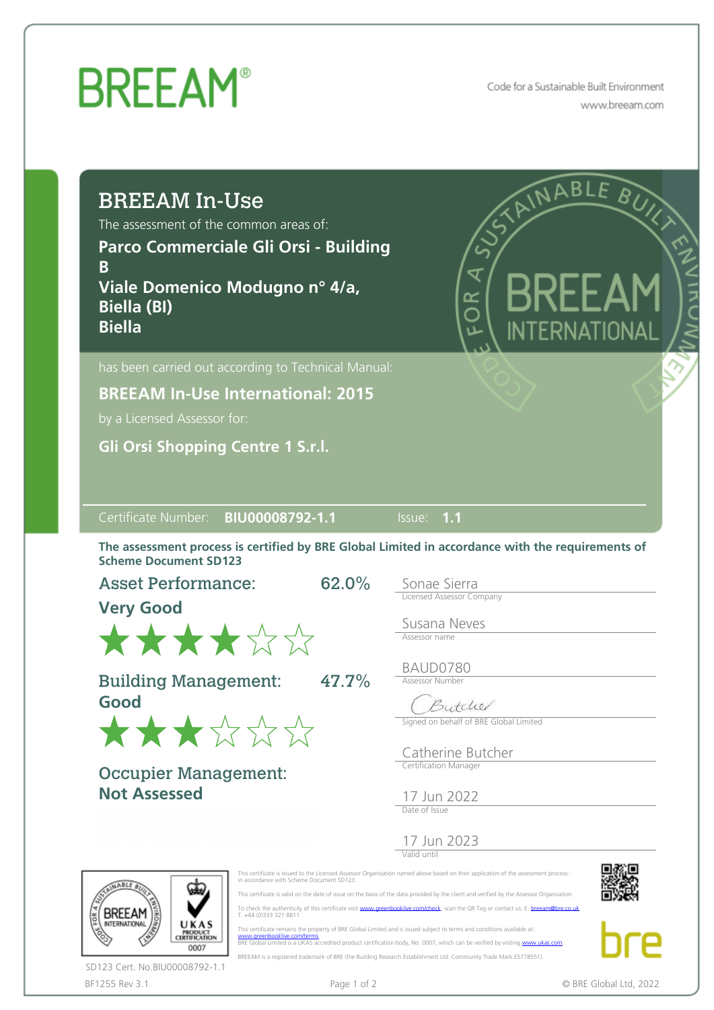Code for a Sustainable Built Environment www.breeam.com

| <b>BREEAM In-Use</b><br>The assessment of the common areas of:<br>Parco Commerciale Gli Orsi - Building<br>B<br>Viale Domenico Modugno nº 4/a,<br><b>Biella (BI)</b><br><b>Biella</b>                                                                     |        | ⋖<br>$\approx$                                                                          | STAINABLE | BUIL |
|-----------------------------------------------------------------------------------------------------------------------------------------------------------------------------------------------------------------------------------------------------------|--------|-----------------------------------------------------------------------------------------|-----------|------|
| has been carried out according to Technical Manual:<br><b>BREEAM In-Use International: 2015</b><br>by a Licensed Assessor for:<br><b>Gli Orsi Shopping Centre 1 S.r.l.</b>                                                                                |        |                                                                                         |           |      |
|                                                                                                                                                                                                                                                           |        |                                                                                         |           |      |
| BIU00008792-1.1                                                                                                                                                                                                                                           | Issue: | $-1.1$                                                                                  |           |      |
|                                                                                                                                                                                                                                                           |        |                                                                                         |           |      |
| ★★★★☆☆                                                                                                                                                                                                                                                    | 62.0%  | Sonae Sierra<br><b>Licensed Assessor Company</b><br>Susana Neves<br>Assessor name       |           |      |
| Certificate Number:<br>The assessment process is certified by BRE Global Limited in accordance with the requirements of<br><b>Scheme Document SD123</b><br><b>Asset Performance:</b><br><b>Very Good</b><br><b>Building Management:</b><br>Good<br>★★★☆☆☆ | 47.7%  | BAUD0780<br><b>Assessor Number</b><br>Butcher<br>Signed on behalf of BRE Global Limited |           |      |
| <b>Occupier Management:</b><br><b>Not Assessed</b>                                                                                                                                                                                                        |        | Catherine Butcher<br>Certification Manager<br>17 Jun 2022<br>Date of Issue              |           |      |



This certificate remains the property of BRE Global Limited and is issued subject to terms and conditions available at:<br>[www.greenbooklive.com/terms](http://www.greenbooklive.com/terms)...<br>BRE Global Limited is a UKAS accredited product certification body, No. BREEAM is a registered trademark of BRE (the Building Research Establishment Ltd. Community Trade Mark E5778551).





BF1255 Rev 3.1 **Page 1 of 2** Page 1 of 2 **CONF** Page 1 of 2 **CONF** BRE Global Ltd, 2022 SD123 Cert. No.BIU00008792-1.1

ℰ

UKAS

**PRODUCT**<br>CERTIFICATION

0007

**BREEAM** 

NTERNATIONAL